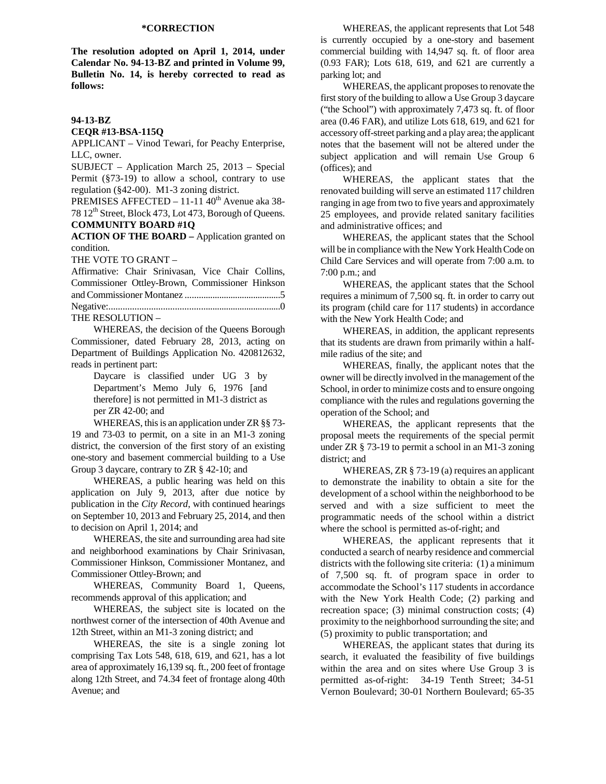**The resolution adopted on April 1, 2014, under Calendar No. 94-13-BZ and printed in Volume 99, Bulletin No. 14, is hereby corrected to read as follows:** 

## **94-13-BZ**

**CEQR #13-BSA-115Q** 

APPLICANT – Vinod Tewari, for Peachy Enterprise, LLC, owner.

SUBJECT – Application March 25, 2013 – Special Permit (§73-19) to allow a school, contrary to use regulation (§42-00). M1-3 zoning district.

PREMISES AFFECTED - 11-11 40<sup>th</sup> Avenue aka 38-78 12<sup>th</sup> Street, Block 473, Lot 473, Borough of Queens. **COMMUNITY BOARD #1Q** 

**ACTION OF THE BOARD –** Application granted on condition.

THE VOTE TO GRANT –

Affirmative: Chair Srinivasan, Vice Chair Collins, Commissioner Ottley-Brown, Commissioner Hinkson and Commissioner Montanez ..........................................5 Negative:..........................................................................0 THE RESOLUTION –

 WHEREAS, the decision of the Queens Borough Commissioner, dated February 28, 2013, acting on Department of Buildings Application No. 420812632, reads in pertinent part:

> Daycare is classified under UG 3 by Department's Memo July 6, 1976 [and therefore] is not permitted in M1-3 district as per ZR 42-00; and

 WHEREAS, this is an application under ZR §§ 73- 19 and 73-03 to permit, on a site in an M1-3 zoning district, the conversion of the first story of an existing one-story and basement commercial building to a Use Group 3 daycare, contrary to ZR § 42-10; and

 WHEREAS, a public hearing was held on this application on July 9, 2013, after due notice by publication in the *City Record*, with continued hearings on September 10, 2013 and February 25, 2014, and then to decision on April 1, 2014; and

 WHEREAS, the site and surrounding area had site and neighborhood examinations by Chair Srinivasan, Commissioner Hinkson, Commissioner Montanez, and Commissioner Ottley-Brown; and

 WHEREAS, Community Board 1, Queens, recommends approval of this application; and

 WHEREAS, the subject site is located on the northwest corner of the intersection of 40th Avenue and 12th Street, within an M1-3 zoning district; and

 WHEREAS, the site is a single zoning lot comprising Tax Lots 548, 618, 619, and 621, has a lot area of approximately 16,139 sq. ft., 200 feet of frontage along 12th Street, and 74.34 feet of frontage along 40th Avenue; and

 WHEREAS, the applicant represents that Lot 548 is currently occupied by a one-story and basement commercial building with 14,947 sq. ft. of floor area (0.93 FAR); Lots 618, 619, and 621 are currently a parking lot; and

 WHEREAS, the applicant proposes to renovate the first story of the building to allow a Use Group 3 daycare ("the School") with approximately 7,473 sq. ft. of floor area (0.46 FAR), and utilize Lots 618, 619, and 621 for accessory off-street parking and a play area; the applicant notes that the basement will not be altered under the subject application and will remain Use Group 6 (offices); and

 WHEREAS, the applicant states that the renovated building will serve an estimated 117 children ranging in age from two to five years and approximately 25 employees, and provide related sanitary facilities and administrative offices; and

 WHEREAS, the applicant states that the School will be in compliance with the New York Health Code on Child Care Services and will operate from 7:00 a.m. to 7:00 p.m.; and

 WHEREAS, the applicant states that the School requires a minimum of 7,500 sq. ft. in order to carry out its program (child care for 117 students) in accordance with the New York Health Code; and

 WHEREAS, in addition, the applicant represents that its students are drawn from primarily within a halfmile radius of the site; and

 WHEREAS, finally, the applicant notes that the owner will be directly involved in the management of the School, in order to minimize costs and to ensure ongoing compliance with the rules and regulations governing the operation of the School; and

 WHEREAS, the applicant represents that the proposal meets the requirements of the special permit under ZR § 73-19 to permit a school in an M1-3 zoning district; and

WHEREAS, ZR § 73-19 (a) requires an applicant to demonstrate the inability to obtain a site for the development of a school within the neighborhood to be served and with a size sufficient to meet the programmatic needs of the school within a district where the school is permitted as-of-right; and

 WHEREAS, the applicant represents that it conducted a search of nearby residence and commercial districts with the following site criteria: (1) a minimum of 7,500 sq. ft. of program space in order to accommodate the School's 117 students in accordance with the New York Health Code; (2) parking and recreation space; (3) minimal construction costs; (4) proximity to the neighborhood surrounding the site; and (5) proximity to public transportation; and

WHEREAS, the applicant states that during its search, it evaluated the feasibility of five buildings within the area and on sites where Use Group 3 is permitted as-of-right: 34-19 Tenth Street; 34-51 Vernon Boulevard; 30-01 Northern Boulevard; 65-35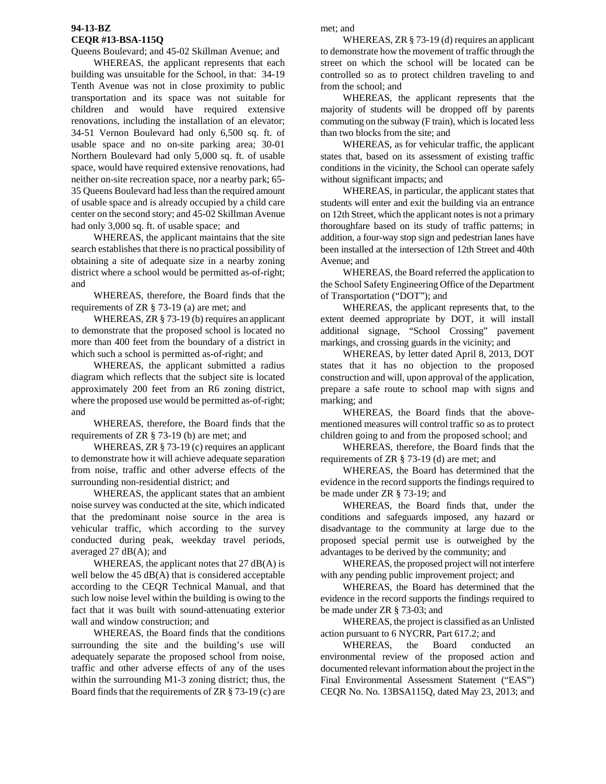## **94-13-BZ CEQR #13-BSA-115Q**

Queens Boulevard; and 45-02 Skillman Avenue; and

WHEREAS, the applicant represents that each building was unsuitable for the School, in that: 34-19 Tenth Avenue was not in close proximity to public transportation and its space was not suitable for children and would have required extensive renovations, including the installation of an elevator; 34-51 Vernon Boulevard had only 6,500 sq. ft. of usable space and no on-site parking area; 30-01 Northern Boulevard had only 5,000 sq. ft. of usable space, would have required extensive renovations, had neither on-site recreation space, nor a nearby park; 65- 35 Queens Boulevard had less than the required amount of usable space and is already occupied by a child care center on the second story; and 45-02 Skillman Avenue had only 3,000 sq. ft. of usable space; and

 WHEREAS, the applicant maintains that the site search establishes that there is no practical possibility of obtaining a site of adequate size in a nearby zoning district where a school would be permitted as-of-right; and

WHEREAS, therefore, the Board finds that the requirements of ZR § 73-19 (a) are met; and

WHEREAS, ZR § 73-19 (b) requires an applicant to demonstrate that the proposed school is located no more than 400 feet from the boundary of a district in which such a school is permitted as-of-right; and

WHEREAS, the applicant submitted a radius diagram which reflects that the subject site is located approximately 200 feet from an R6 zoning district, where the proposed use would be permitted as-of-right; and

WHEREAS, therefore, the Board finds that the requirements of ZR § 73-19 (b) are met; and

WHEREAS, ZR § 73-19 (c) requires an applicant to demonstrate how it will achieve adequate separation from noise, traffic and other adverse effects of the surrounding non-residential district; and

WHEREAS, the applicant states that an ambient noise survey was conducted at the site, which indicated that the predominant noise source in the area is vehicular traffic, which according to the survey conducted during peak, weekday travel periods, averaged 27 dB(A); and

WHEREAS, the applicant notes that 27 dB(A) is well below the  $45$  dB(A) that is considered acceptable according to the CEQR Technical Manual, and that such low noise level within the building is owing to the fact that it was built with sound-attenuating exterior wall and window construction; and

WHEREAS, the Board finds that the conditions surrounding the site and the building's use will adequately separate the proposed school from noise, traffic and other adverse effects of any of the uses within the surrounding M1-3 zoning district; thus, the Board finds that the requirements of ZR § 73-19 (c) are met; and

WHEREAS, ZR § 73-19 (d) requires an applicant to demonstrate how the movement of traffic through the street on which the school will be located can be controlled so as to protect children traveling to and from the school; and

WHEREAS, the applicant represents that the majority of students will be dropped off by parents commuting on the subway (F train), which is located less than two blocks from the site; and

WHEREAS, as for vehicular traffic, the applicant states that, based on its assessment of existing traffic conditions in the vicinity, the School can operate safely without significant impacts; and

WHEREAS, in particular, the applicant states that students will enter and exit the building via an entrance on 12th Street, which the applicant notes is not a primary thoroughfare based on its study of traffic patterns; in addition, a four-way stop sign and pedestrian lanes have been installed at the intersection of 12th Street and 40th Avenue; and

WHEREAS, the Board referred the application to the School Safety Engineering Office of the Department of Transportation ("DOT"); and

WHEREAS, the applicant represents that, to the extent deemed appropriate by DOT, it will install additional signage, "School Crossing" pavement markings, and crossing guards in the vicinity; and

WHEREAS, by letter dated April 8, 2013, DOT states that it has no objection to the proposed construction and will, upon approval of the application, prepare a safe route to school map with signs and marking; and

WHEREAS, the Board finds that the abovementioned measures will control traffic so as to protect children going to and from the proposed school; and

WHEREAS, therefore, the Board finds that the requirements of ZR § 73-19 (d) are met; and

WHEREAS, the Board has determined that the evidence in the record supports the findings required to be made under ZR § 73-19; and

WHEREAS, the Board finds that, under the conditions and safeguards imposed, any hazard or disadvantage to the community at large due to the proposed special permit use is outweighed by the advantages to be derived by the community; and

WHEREAS, the proposed project will not interfere with any pending public improvement project; and

WHEREAS, the Board has determined that the evidence in the record supports the findings required to be made under ZR § 73-03; and

WHEREAS, the project is classified as an Unlisted action pursuant to 6 NYCRR, Part 617.2; and

WHEREAS, the Board conducted an environmental review of the proposed action and documented relevant information about the project in the Final Environmental Assessment Statement ("EAS") CEQR No. No. 13BSA115Q, dated May 23, 2013; and